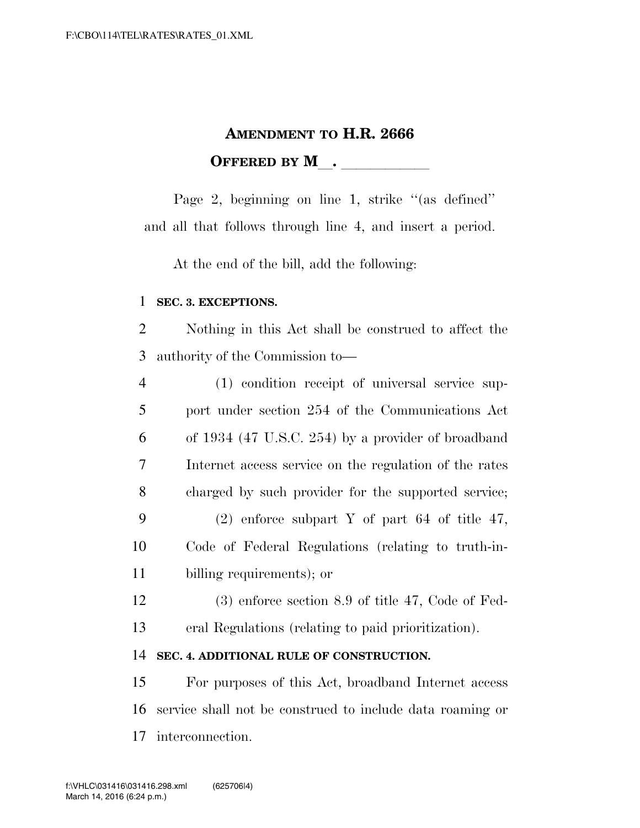## **AMENDMENT TO H.R. 2666 OFFERED BY M\_\_\_\_\_\_\_\_\_\_\_\_\_**

Page 2, beginning on line 1, strike "(as defined" and all that follows through line 4, and insert a period.

At the end of the bill, add the following:

## **SEC. 3. EXCEPTIONS.**

 Nothing in this Act shall be construed to affect the authority of the Commission to—

| $\overline{4}$ | (1) condition receipt of universal service sup-        |
|----------------|--------------------------------------------------------|
| 5              | port under section 254 of the Communications Act       |
| 6              | of 1934 (47 U.S.C. 254) by a provider of broadband     |
| 7              | Internet access service on the regulation of the rates |
| 8              | charged by such provider for the supported service;    |
| 9              | $(2)$ enforce subpart Y of part 64 of title 47,        |
| 10             | Code of Federal Regulations (relating to truth-in-     |
| 11             | billing requirements); or                              |
|                |                                                        |

 (3) enforce section 8.9 of title 47, Code of Fed-eral Regulations (relating to paid prioritization).

## **SEC. 4. ADDITIONAL RULE OF CONSTRUCTION.**

 For purposes of this Act, broadband Internet access service shall not be construed to include data roaming or interconnection.